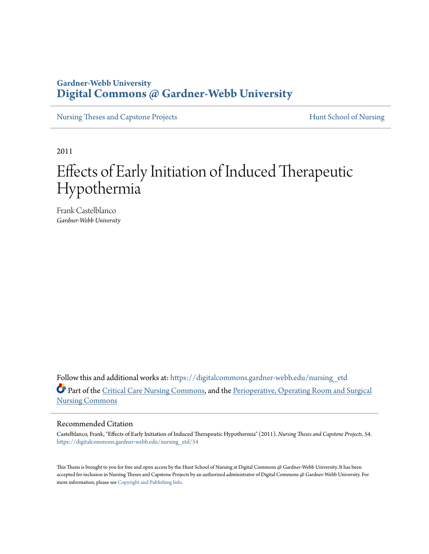## **Gardner-Webb University [Digital Commons @ Gardner-Webb University](https://digitalcommons.gardner-webb.edu?utm_source=digitalcommons.gardner-webb.edu%2Fnursing_etd%2F54&utm_medium=PDF&utm_campaign=PDFCoverPages)**

[Nursing Theses and Capstone Projects](https://digitalcommons.gardner-webb.edu/nursing_etd?utm_source=digitalcommons.gardner-webb.edu%2Fnursing_etd%2F54&utm_medium=PDF&utm_campaign=PDFCoverPages) **[Hunt School of Nursing](https://digitalcommons.gardner-webb.edu/nursing?utm_source=digitalcommons.gardner-webb.edu%2Fnursing_etd%2F54&utm_medium=PDF&utm_campaign=PDFCoverPages)** 

2011

# Effects of Early Initiation of Induced Therapeutic Hypothermia

Frank Castelblanco *Gardner-Webb University*

Follow this and additional works at: [https://digitalcommons.gardner-webb.edu/nursing\\_etd](https://digitalcommons.gardner-webb.edu/nursing_etd?utm_source=digitalcommons.gardner-webb.edu%2Fnursing_etd%2F54&utm_medium=PDF&utm_campaign=PDFCoverPages) Part of the [Critical Care Nursing Commons](http://network.bepress.com/hgg/discipline/727?utm_source=digitalcommons.gardner-webb.edu%2Fnursing_etd%2F54&utm_medium=PDF&utm_campaign=PDFCoverPages), and the [Perioperative, Operating Room and Surgical](http://network.bepress.com/hgg/discipline/726?utm_source=digitalcommons.gardner-webb.edu%2Fnursing_etd%2F54&utm_medium=PDF&utm_campaign=PDFCoverPages) [Nursing Commons](http://network.bepress.com/hgg/discipline/726?utm_source=digitalcommons.gardner-webb.edu%2Fnursing_etd%2F54&utm_medium=PDF&utm_campaign=PDFCoverPages)

#### Recommended Citation

Castelblanco, Frank, "Effects of Early Initiation of Induced Therapeutic Hypothermia" (2011). *Nursing Theses and Capstone Projects*. 54. [https://digitalcommons.gardner-webb.edu/nursing\\_etd/54](https://digitalcommons.gardner-webb.edu/nursing_etd/54?utm_source=digitalcommons.gardner-webb.edu%2Fnursing_etd%2F54&utm_medium=PDF&utm_campaign=PDFCoverPages)

This Thesis is brought to you for free and open access by the Hunt School of Nursing at Digital Commons @ Gardner-Webb University. It has been accepted for inclusion in Nursing Theses and Capstone Projects by an authorized administrator of Digital Commons @ Gardner-Webb University. For more information, please see [Copyright and Publishing Info](https://digitalcommons.gardner-webb.edu/copyright_publishing.html).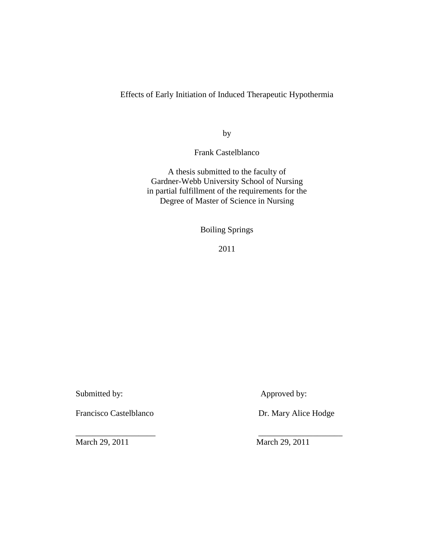Effects of Early Initiation of Induced Therapeutic Hypothermia

by

Frank Castelblanco

A thesis submitted to the faculty of Gardner-Webb University School of Nursing in partial fulfillment of the requirements for the Degree of Master of Science in Nursing

Boiling Springs

2011

Submitted by: Approved by:

Francisco Castelblanco Dr. Mary Alice Hodge

\_\_\_\_\_\_\_\_\_\_\_\_\_\_\_\_\_\_\_ \_\_\_\_\_\_\_\_\_\_\_\_\_\_\_\_\_\_\_\_ March 29, 2011 March 29, 2011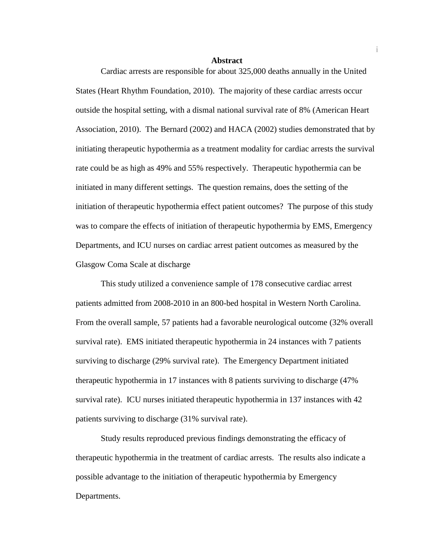#### **Abstract**

 Cardiac arrests are responsible for about 325,000 deaths annually in the United States (Heart Rhythm Foundation, 2010). The majority of these cardiac arrests occur outside the hospital setting, with a dismal national survival rate of 8% (American Heart Association, 2010). The Bernard (2002) and HACA (2002) studies demonstrated that by initiating therapeutic hypothermia as a treatment modality for cardiac arrests the survival rate could be as high as 49% and 55% respectively. Therapeutic hypothermia can be initiated in many different settings. The question remains, does the setting of the initiation of therapeutic hypothermia effect patient outcomes? The purpose of this study was to compare the effects of initiation of therapeutic hypothermia by EMS, Emergency Departments, and ICU nurses on cardiac arrest patient outcomes as measured by the Glasgow Coma Scale at discharge

 This study utilized a convenience sample of 178 consecutive cardiac arrest patients admitted from 2008-2010 in an 800-bed hospital in Western North Carolina. From the overall sample, 57 patients had a favorable neurological outcome (32% overall survival rate). EMS initiated therapeutic hypothermia in 24 instances with 7 patients surviving to discharge (29% survival rate). The Emergency Department initiated therapeutic hypothermia in 17 instances with 8 patients surviving to discharge (47% survival rate). ICU nurses initiated therapeutic hypothermia in 137 instances with 42 patients surviving to discharge (31% survival rate).

 Study results reproduced previous findings demonstrating the efficacy of therapeutic hypothermia in the treatment of cardiac arrests. The results also indicate a possible advantage to the initiation of therapeutic hypothermia by Emergency Departments.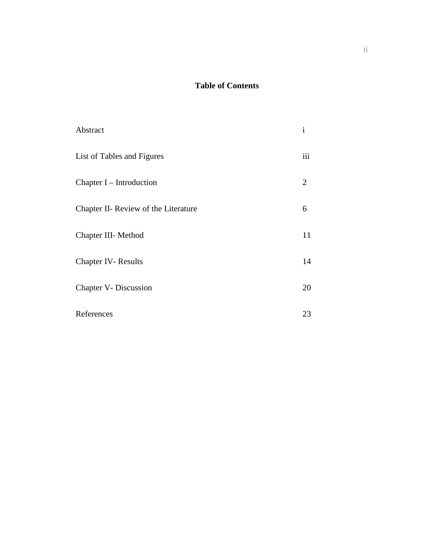## **Table of Contents**

| Abstract                             | $\mathbf{i}$ |
|--------------------------------------|--------------|
| List of Tables and Figures           | iii          |
| Chapter $I$ – Introduction           | 2            |
| Chapter II- Review of the Literature | 6            |
| Chapter III- Method                  | 11           |
| <b>Chapter IV-Results</b>            | 14           |
| Chapter V- Discussion                | 20           |
| References                           | 23           |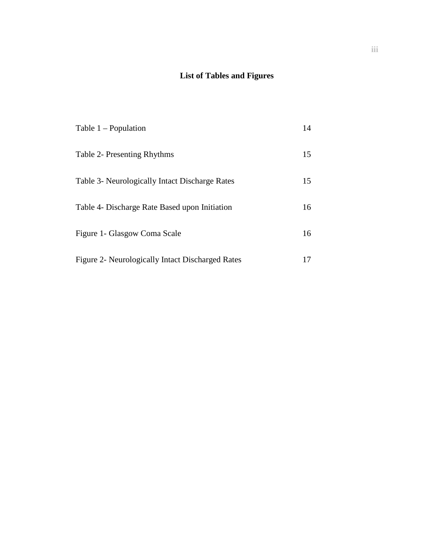## **List of Tables and Figures**

| Table $1 -$ Population                           | 14 |
|--------------------------------------------------|----|
| Table 2- Presenting Rhythms                      | 15 |
| Table 3- Neurologically Intact Discharge Rates   | 15 |
| Table 4- Discharge Rate Based upon Initiation    | 16 |
| Figure 1- Glasgow Coma Scale                     | 16 |
| Figure 2- Neurologically Intact Discharged Rates | 17 |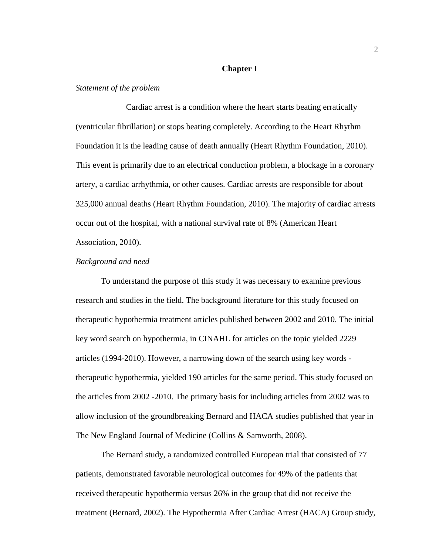#### **Chapter I**

#### *Statement of the problem*

Cardiac arrest is a condition where the heart starts beating erratically (ventricular fibrillation) or stops beating completely. According to the Heart Rhythm Foundation it is the leading cause of death annually (Heart Rhythm Foundation, 2010). This event is primarily due to an electrical conduction problem, a blockage in a coronary artery, a cardiac arrhythmia, or other causes. Cardiac arrests are responsible for about 325,000 annual deaths (Heart Rhythm Foundation, 2010). The majority of cardiac arrests occur out of the hospital, with a national survival rate of 8% (American Heart Association, 2010).

#### *Background and need*

 To understand the purpose of this study it was necessary to examine previous research and studies in the field. The background literature for this study focused on therapeutic hypothermia treatment articles published between 2002 and 2010. The initial key word search on hypothermia, in CINAHL for articles on the topic yielded 2229 articles (1994-2010). However, a narrowing down of the search using key words therapeutic hypothermia, yielded 190 articles for the same period. This study focused on the articles from 2002 -2010. The primary basis for including articles from 2002 was to allow inclusion of the groundbreaking Bernard and HACA studies published that year in The New England Journal of Medicine (Collins & Samworth, 2008).

 The Bernard study, a randomized controlled European trial that consisted of 77 patients, demonstrated favorable neurological outcomes for 49% of the patients that received therapeutic hypothermia versus 26% in the group that did not receive the treatment (Bernard, 2002). The Hypothermia After Cardiac Arrest (HACA) Group study,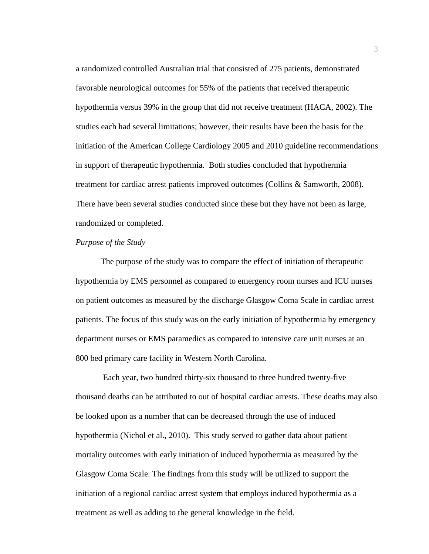a randomized controlled Australian trial that consisted of 275 patients, demonstrated favorable neurological outcomes for 55% of the patients that received therapeutic hypothermia versus 39% in the group that did not receive treatment (HACA, 2002). The studies each had several limitations; however, their results have been the basis for the initiation of the American College Cardiology 2005 and 2010 guideline recommendations in support of therapeutic hypothermia. Both studies concluded that hypothermia treatment for cardiac arrest patients improved outcomes (Collins & Samworth, 2008). There have been several studies conducted since these but they have not been as large, randomized or completed.

#### *Purpose of the Study*

The purpose of the study was to compare the effect of initiation of therapeutic hypothermia by EMS personnel as compared to emergency room nurses and ICU nurses on patient outcomes as measured by the discharge Glasgow Coma Scale in cardiac arrest patients. The focus of this study was on the early initiation of hypothermia by emergency department nurses or EMS paramedics as compared to intensive care unit nurses at an 800 bed primary care facility in Western North Carolina.

 Each year, two hundred thirty-six thousand to three hundred twenty-five thousand deaths can be attributed to out of hospital cardiac arrests. These deaths may also be looked upon as a number that can be decreased through the use of induced hypothermia (Nichol et al., 2010). This study served to gather data about patient mortality outcomes with early initiation of induced hypothermia as measured by the Glasgow Coma Scale. The findings from this study will be utilized to support the initiation of a regional cardiac arrest system that employs induced hypothermia as a treatment as well as adding to the general knowledge in the field.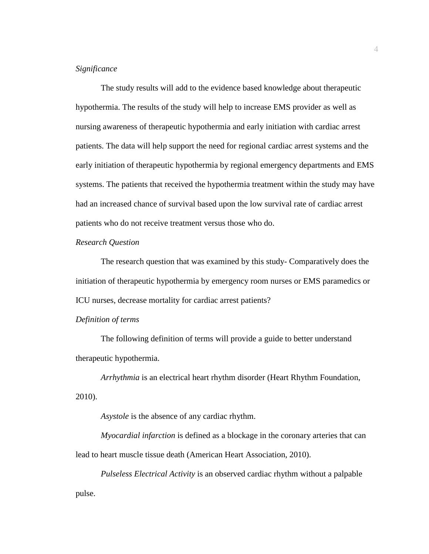#### *Significance*

The study results will add to the evidence based knowledge about therapeutic hypothermia. The results of the study will help to increase EMS provider as well as nursing awareness of therapeutic hypothermia and early initiation with cardiac arrest patients. The data will help support the need for regional cardiac arrest systems and the early initiation of therapeutic hypothermia by regional emergency departments and EMS systems. The patients that received the hypothermia treatment within the study may have had an increased chance of survival based upon the low survival rate of cardiac arrest patients who do not receive treatment versus those who do.

#### *Research Question*

The research question that was examined by this study- Comparatively does the initiation of therapeutic hypothermia by emergency room nurses or EMS paramedics or ICU nurses, decrease mortality for cardiac arrest patients?

#### *Definition of terms*

The following definition of terms will provide a guide to better understand therapeutic hypothermia.

*Arrhythmia* is an electrical heart rhythm disorder (Heart Rhythm Foundation, 2010).

*Asystole* is the absence of any cardiac rhythm.

*Myocardial infarction* is defined as a blockage in the coronary arteries that can lead to heart muscle tissue death (American Heart Association, 2010).

*Pulseless Electrical Activity* is an observed cardiac rhythm without a palpable pulse.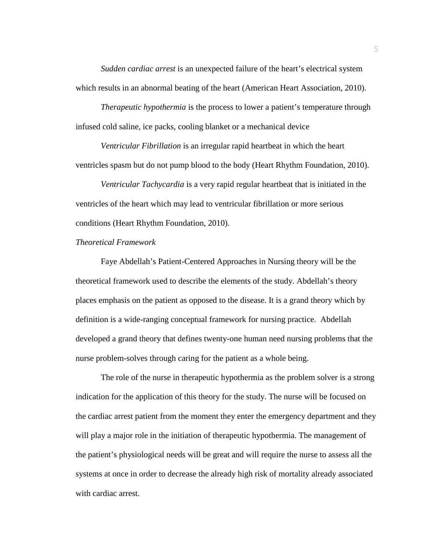*Sudden cardiac arrest* is an unexpected failure of the heart's electrical system which results in an abnormal beating of the heart (American Heart Association, 2010).

*Therapeutic hypothermia* is the process to lower a patient's temperature through infused cold saline, ice packs, cooling blanket or a mechanical device

*Ventricular Fibrillation* is an irregular rapid heartbeat in which the heart ventricles spasm but do not pump blood to the body (Heart Rhythm Foundation, 2010).

*Ventricular Tachycardia* is a very rapid regular heartbeat that is initiated in the ventricles of the heart which may lead to ventricular fibrillation or more serious conditions (Heart Rhythm Foundation, 2010).

### *Theoretical Framework*

Faye Abdellah's Patient-Centered Approaches in Nursing theory will be the theoretical framework used to describe the elements of the study. Abdellah's theory places emphasis on the patient as opposed to the disease. It is a grand theory which by definition is a wide-ranging conceptual framework for nursing practice. Abdellah developed a grand theory that defines twenty-one human need nursing problems that the nurse problem-solves through caring for the patient as a whole being.

The role of the nurse in therapeutic hypothermia as the problem solver is a strong indication for the application of this theory for the study. The nurse will be focused on the cardiac arrest patient from the moment they enter the emergency department and they will play a major role in the initiation of therapeutic hypothermia. The management of the patient's physiological needs will be great and will require the nurse to assess all the systems at once in order to decrease the already high risk of mortality already associated with cardiac arrest.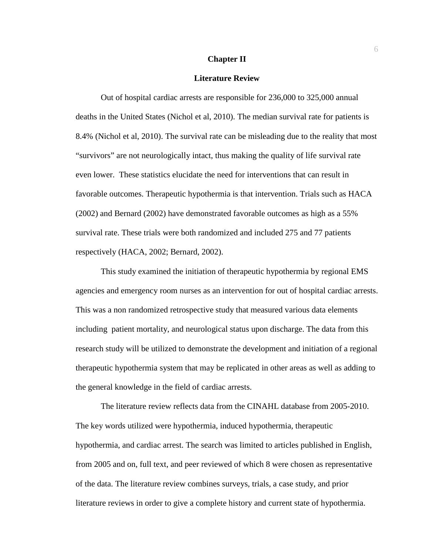#### **Chapter II**

#### **Literature Review**

Out of hospital cardiac arrests are responsible for 236,000 to 325,000 annual deaths in the United States (Nichol et al, 2010). The median survival rate for patients is 8.4% (Nichol et al, 2010). The survival rate can be misleading due to the reality that most "survivors" are not neurologically intact, thus making the quality of life survival rate even lower. These statistics elucidate the need for interventions that can result in favorable outcomes. Therapeutic hypothermia is that intervention. Trials such as HACA (2002) and Bernard (2002) have demonstrated favorable outcomes as high as a 55% survival rate. These trials were both randomized and included 275 and 77 patients respectively (HACA, 2002; Bernard, 2002).

This study examined the initiation of therapeutic hypothermia by regional EMS agencies and emergency room nurses as an intervention for out of hospital cardiac arrests. This was a non randomized retrospective study that measured various data elements including patient mortality, and neurological status upon discharge. The data from this research study will be utilized to demonstrate the development and initiation of a regional therapeutic hypothermia system that may be replicated in other areas as well as adding to the general knowledge in the field of cardiac arrests.

The literature review reflects data from the CINAHL database from 2005-2010. The key words utilized were hypothermia, induced hypothermia, therapeutic hypothermia, and cardiac arrest. The search was limited to articles published in English, from 2005 and on, full text, and peer reviewed of which 8 were chosen as representative of the data. The literature review combines surveys, trials, a case study, and prior literature reviews in order to give a complete history and current state of hypothermia.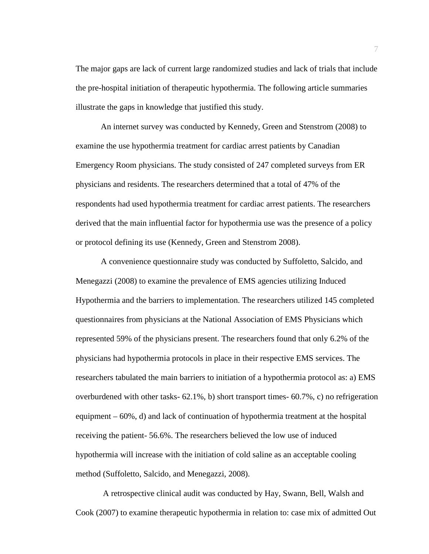The major gaps are lack of current large randomized studies and lack of trials that include the pre-hospital initiation of therapeutic hypothermia. The following article summaries illustrate the gaps in knowledge that justified this study.

An internet survey was conducted by Kennedy, Green and Stenstrom (2008) to examine the use hypothermia treatment for cardiac arrest patients by Canadian Emergency Room physicians. The study consisted of 247 completed surveys from ER physicians and residents. The researchers determined that a total of 47% of the respondents had used hypothermia treatment for cardiac arrest patients. The researchers derived that the main influential factor for hypothermia use was the presence of a policy or protocol defining its use (Kennedy, Green and Stenstrom 2008).

 A convenience questionnaire study was conducted by Suffoletto, Salcido, and Menegazzi (2008) to examine the prevalence of EMS agencies utilizing Induced Hypothermia and the barriers to implementation. The researchers utilized 145 completed questionnaires from physicians at the National Association of EMS Physicians which represented 59% of the physicians present. The researchers found that only 6.2% of the physicians had hypothermia protocols in place in their respective EMS services. The researchers tabulated the main barriers to initiation of a hypothermia protocol as: a) EMS overburdened with other tasks- 62.1%, b) short transport times- 60.7%, c) no refrigeration equipment – 60%, d) and lack of continuation of hypothermia treatment at the hospital receiving the patient- 56.6%. The researchers believed the low use of induced hypothermia will increase with the initiation of cold saline as an acceptable cooling method (Suffoletto, Salcido, and Menegazzi, 2008).

 A retrospective clinical audit was conducted by Hay, Swann, Bell, Walsh and Cook (2007) to examine therapeutic hypothermia in relation to: case mix of admitted Out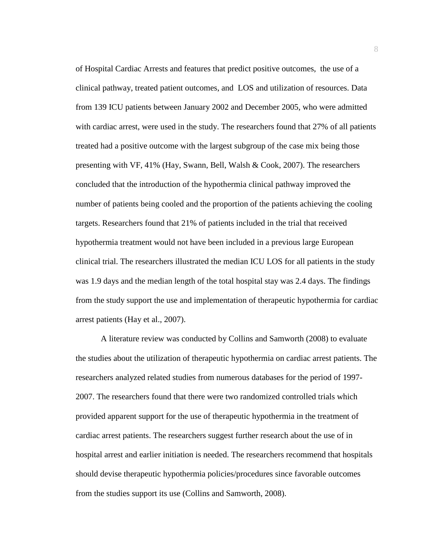of Hospital Cardiac Arrests and features that predict positive outcomes, the use of a clinical pathway, treated patient outcomes, and LOS and utilization of resources. Data from 139 ICU patients between January 2002 and December 2005, who were admitted with cardiac arrest, were used in the study. The researchers found that 27% of all patients treated had a positive outcome with the largest subgroup of the case mix being those presenting with VF, 41% (Hay, Swann, Bell, Walsh & Cook, 2007). The researchers concluded that the introduction of the hypothermia clinical pathway improved the number of patients being cooled and the proportion of the patients achieving the cooling targets. Researchers found that 21% of patients included in the trial that received hypothermia treatment would not have been included in a previous large European clinical trial. The researchers illustrated the median ICU LOS for all patients in the study was 1.9 days and the median length of the total hospital stay was 2.4 days. The findings from the study support the use and implementation of therapeutic hypothermia for cardiac arrest patients (Hay et al., 2007).

 A literature review was conducted by Collins and Samworth (2008) to evaluate the studies about the utilization of therapeutic hypothermia on cardiac arrest patients. The researchers analyzed related studies from numerous databases for the period of 1997- 2007. The researchers found that there were two randomized controlled trials which provided apparent support for the use of therapeutic hypothermia in the treatment of cardiac arrest patients. The researchers suggest further research about the use of in hospital arrest and earlier initiation is needed. The researchers recommend that hospitals should devise therapeutic hypothermia policies/procedures since favorable outcomes from the studies support its use (Collins and Samworth, 2008).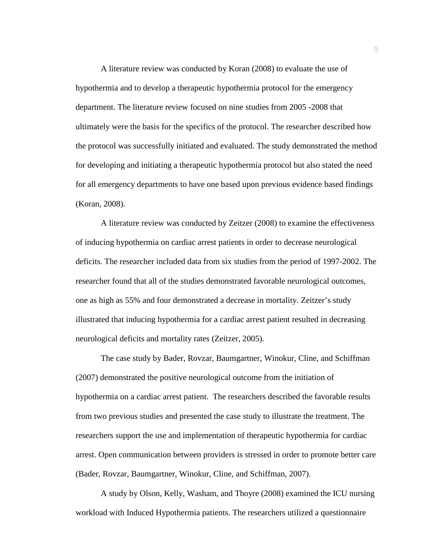A literature review was conducted by Koran (2008) to evaluate the use of hypothermia and to develop a therapeutic hypothermia protocol for the emergency department. The literature review focused on nine studies from 2005 -2008 that ultimately were the basis for the specifics of the protocol. The researcher described how the protocol was successfully initiated and evaluated. The study demonstrated the method for developing and initiating a therapeutic hypothermia protocol but also stated the need for all emergency departments to have one based upon previous evidence based findings (Koran, 2008).

 A literature review was conducted by Zeitzer (2008) to examine the effectiveness of inducing hypothermia on cardiac arrest patients in order to decrease neurological deficits. The researcher included data from six studies from the period of 1997-2002. The researcher found that all of the studies demonstrated favorable neurological outcomes, one as high as 55% and four demonstrated a decrease in mortality. Zeitzer's study illustrated that inducing hypothermia for a cardiac arrest patient resulted in decreasing neurological deficits and mortality rates (Zeitzer, 2005).

 The case study by Bader, Rovzar, Baumgartner, Winokur, Cline, and Schiffman (2007) demonstrated the positive neurological outcome from the initiation of hypothermia on a cardiac arrest patient. The researchers described the favorable results from two previous studies and presented the case study to illustrate the treatment. The researchers support the use and implementation of therapeutic hypothermia for cardiac arrest. Open communication between providers is stressed in order to promote better care (Bader, Rovzar, Baumgartner, Winokur, Cline, and Schiffman, 2007).

 A study by Olson, Kelly, Washam, and Thoyre (2008) examined the ICU nursing workload with Induced Hypothermia patients. The researchers utilized a questionnaire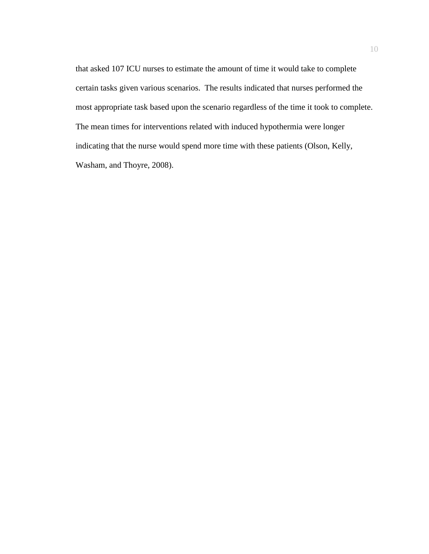that asked 107 ICU nurses to estimate the amount of time it would take to complete certain tasks given various scenarios. The results indicated that nurses performed the most appropriate task based upon the scenario regardless of the time it took to complete. The mean times for interventions related with induced hypothermia were longer indicating that the nurse would spend more time with these patients (Olson, Kelly, Washam, and Thoyre, 2008).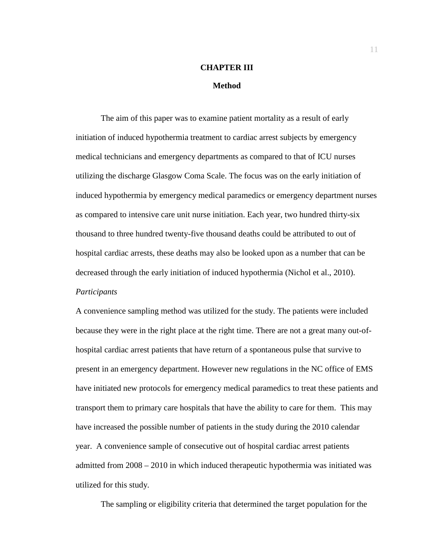# **CHAPTER III**

#### **Method**

The aim of this paper was to examine patient mortality as a result of early initiation of induced hypothermia treatment to cardiac arrest subjects by emergency medical technicians and emergency departments as compared to that of ICU nurses utilizing the discharge Glasgow Coma Scale. The focus was on the early initiation of induced hypothermia by emergency medical paramedics or emergency department nurses as compared to intensive care unit nurse initiation. Each year, two hundred thirty-six thousand to three hundred twenty-five thousand deaths could be attributed to out of hospital cardiac arrests, these deaths may also be looked upon as a number that can be decreased through the early initiation of induced hypothermia (Nichol et al., 2010). *Participants* 

A convenience sampling method was utilized for the study. The patients were included because they were in the right place at the right time. There are not a great many out-ofhospital cardiac arrest patients that have return of a spontaneous pulse that survive to present in an emergency department. However new regulations in the NC office of EMS have initiated new protocols for emergency medical paramedics to treat these patients and transport them to primary care hospitals that have the ability to care for them. This may have increased the possible number of patients in the study during the 2010 calendar year. A convenience sample of consecutive out of hospital cardiac arrest patients admitted from 2008 – 2010 in which induced therapeutic hypothermia was initiated was utilized for this study.

The sampling or eligibility criteria that determined the target population for the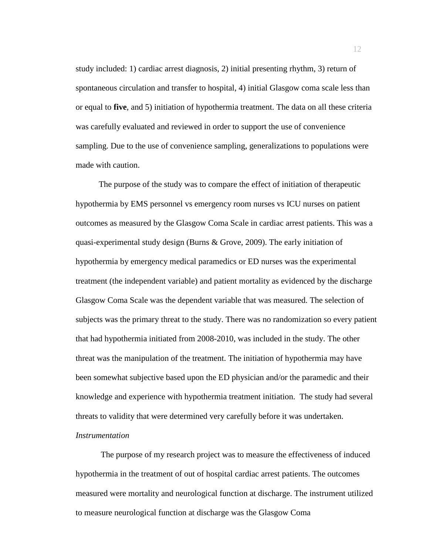study included: 1) cardiac arrest diagnosis, 2) initial presenting rhythm, 3) return of spontaneous circulation and transfer to hospital, 4) initial Glasgow coma scale less than or equal to **five**, and 5) initiation of hypothermia treatment. The data on all these criteria was carefully evaluated and reviewed in order to support the use of convenience sampling. Due to the use of convenience sampling, generalizations to populations were made with caution.

 The purpose of the study was to compare the effect of initiation of therapeutic hypothermia by EMS personnel vs emergency room nurses vs ICU nurses on patient outcomes as measured by the Glasgow Coma Scale in cardiac arrest patients. This was a quasi-experimental study design (Burns & Grove, 2009). The early initiation of hypothermia by emergency medical paramedics or ED nurses was the experimental treatment (the independent variable) and patient mortality as evidenced by the discharge Glasgow Coma Scale was the dependent variable that was measured. The selection of subjects was the primary threat to the study. There was no randomization so every patient that had hypothermia initiated from 2008-2010, was included in the study. The other threat was the manipulation of the treatment. The initiation of hypothermia may have been somewhat subjective based upon the ED physician and/or the paramedic and their knowledge and experience with hypothermia treatment initiation. The study had several threats to validity that were determined very carefully before it was undertaken.

### *Instrumentation*

The purpose of my research project was to measure the effectiveness of induced hypothermia in the treatment of out of hospital cardiac arrest patients. The outcomes measured were mortality and neurological function at discharge. The instrument utilized to measure neurological function at discharge was the Glasgow Coma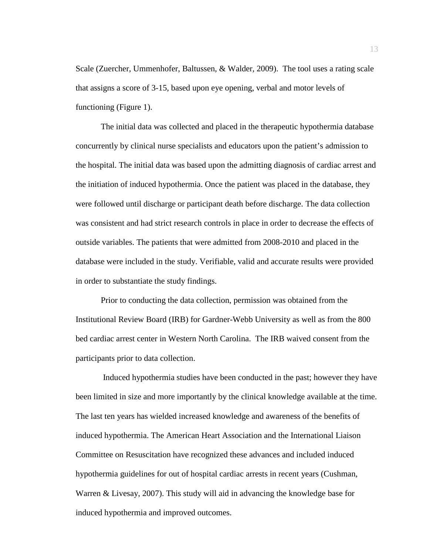Scale (Zuercher, Ummenhofer, Baltussen, & Walder, 2009). The tool uses a rating scale that assigns a score of 3-15, based upon eye opening, verbal and motor levels of functioning (Figure 1).

 The initial data was collected and placed in the therapeutic hypothermia database concurrently by clinical nurse specialists and educators upon the patient's admission to the hospital. The initial data was based upon the admitting diagnosis of cardiac arrest and the initiation of induced hypothermia. Once the patient was placed in the database, they were followed until discharge or participant death before discharge. The data collection was consistent and had strict research controls in place in order to decrease the effects of outside variables. The patients that were admitted from 2008-2010 and placed in the database were included in the study. Verifiable, valid and accurate results were provided in order to substantiate the study findings.

 Prior to conducting the data collection, permission was obtained from the Institutional Review Board (IRB) for Gardner-Webb University as well as from the 800 bed cardiac arrest center in Western North Carolina. The IRB waived consent from the participants prior to data collection.

 Induced hypothermia studies have been conducted in the past; however they have been limited in size and more importantly by the clinical knowledge available at the time. The last ten years has wielded increased knowledge and awareness of the benefits of induced hypothermia. The American Heart Association and the International Liaison Committee on Resuscitation have recognized these advances and included induced hypothermia guidelines for out of hospital cardiac arrests in recent years (Cushman, Warren & Livesay, 2007). This study will aid in advancing the knowledge base for induced hypothermia and improved outcomes.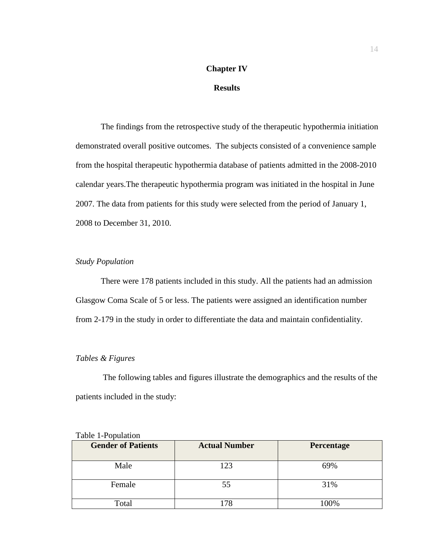# **Chapter IV**

## **Results**

The findings from the retrospective study of the therapeutic hypothermia initiation demonstrated overall positive outcomes. The subjects consisted of a convenience sample from the hospital therapeutic hypothermia database of patients admitted in the 2008-2010 calendar years.The therapeutic hypothermia program was initiated in the hospital in June 2007. The data from patients for this study were selected from the period of January 1, 2008 to December 31, 2010.

## *Study Population*

There were 178 patients included in this study. All the patients had an admission Glasgow Coma Scale of 5 or less. The patients were assigned an identification number from 2-179 in the study in order to differentiate the data and maintain confidentiality.

### *Tables & Figures*

 The following tables and figures illustrate the demographics and the results of the patients included in the study:

| <b>Gender of Patients</b> | <b>Actual Number</b> | Percentage |
|---------------------------|----------------------|------------|
| Male                      | 123                  | 69%        |
| Female                    | 55                   | 31%        |
| Total                     |                      |            |

|  | Table 1-Population |  |
|--|--------------------|--|
|--|--------------------|--|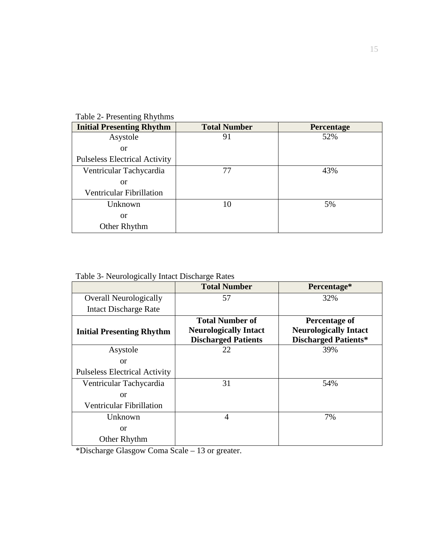| $14010 = 1100$                       |                     |            |
|--------------------------------------|---------------------|------------|
| <b>Initial Presenting Rhythm</b>     | <b>Total Number</b> | Percentage |
| Asystole                             | 91                  | 52%        |
| <b>or</b>                            |                     |            |
| <b>Pulseless Electrical Activity</b> |                     |            |
| Ventricular Tachycardia              | 77                  | 43%        |
| <b>or</b>                            |                     |            |
| Ventricular Fibrillation             |                     |            |
| Unknown                              | 10                  | 5%         |
| <b>or</b>                            |                     |            |
| Other Rhythm                         |                     |            |

Table 2- Presenting Rhythms

Table 3- Neurologically Intact Discharge Rates

|                                      | <b>Total Number</b>                                                                  | Percentage*                                                                  |
|--------------------------------------|--------------------------------------------------------------------------------------|------------------------------------------------------------------------------|
| <b>Overall Neurologically</b>        | 57                                                                                   | 32%                                                                          |
| Intact Discharge Rate                |                                                                                      |                                                                              |
| <b>Initial Presenting Rhythm</b>     | <b>Total Number of</b><br><b>Neurologically Intact</b><br><b>Discharged Patients</b> | Percentage of<br><b>Neurologically Intact</b><br><b>Discharged Patients*</b> |
| Asystole                             | 22                                                                                   | 39%                                                                          |
| <sub>or</sub>                        |                                                                                      |                                                                              |
| <b>Pulseless Electrical Activity</b> |                                                                                      |                                                                              |
| Ventricular Tachycardia              | 31                                                                                   | 54%                                                                          |
| or                                   |                                                                                      |                                                                              |
| Ventricular Fibrillation             |                                                                                      |                                                                              |
| Unknown                              | 4                                                                                    | 7%                                                                           |
| <b>or</b>                            |                                                                                      |                                                                              |
| Other Rhythm                         |                                                                                      |                                                                              |

\*Discharge Glasgow Coma Scale – 13 or greater.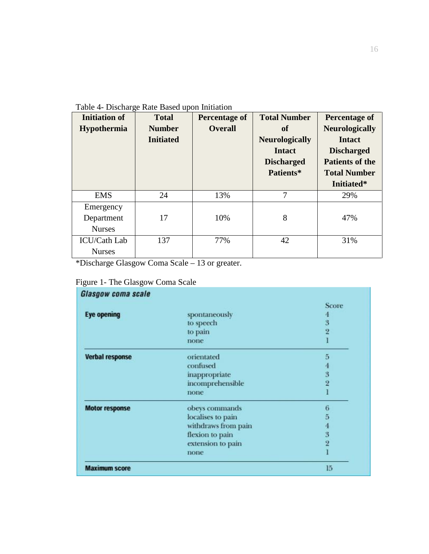| <b>Initiation of</b> | <b>Total</b>     | <b>Percentage of</b> | <b>Total Number</b>   | Percentage of          |
|----------------------|------------------|----------------------|-----------------------|------------------------|
| Hypothermia          | <b>Number</b>    | <b>Overall</b>       | <b>of</b>             | <b>Neurologically</b>  |
|                      | <b>Initiated</b> |                      | <b>Neurologically</b> | <b>Intact</b>          |
|                      |                  |                      | <b>Intact</b>         | <b>Discharged</b>      |
|                      |                  |                      | <b>Discharged</b>     | <b>Patients of the</b> |
|                      |                  |                      | Patients*             | <b>Total Number</b>    |
|                      |                  |                      |                       | Initiated*             |
| <b>EMS</b>           | 24               | 13%                  | 7                     | 29%                    |
| Emergency            |                  |                      |                       |                        |
| Department           | 17               | 10%                  | 8                     | 47%                    |
| <b>Nurses</b>        |                  |                      |                       |                        |
| <b>ICU/Cath Lab</b>  | 137              | 77%                  | 42                    | 31%                    |
| <b>Nurses</b>        |                  |                      |                       |                        |

\*Discharge Glasgow Coma Scale – 13 or greater.

|  |  | Figure 1- The Glasgow Coma Scale |  |  |
|--|--|----------------------------------|--|--|
|--|--|----------------------------------|--|--|

| Glasgow coma scale     |                     |                |
|------------------------|---------------------|----------------|
|                        |                     | Score          |
| <b>Eye opening</b>     | spontaneously       | 4              |
|                        | to speech           | 3              |
|                        | to pain             | $\overline{2}$ |
|                        | none                |                |
| <b>Verbal response</b> | orientated          | 5              |
|                        | confused            | 4              |
|                        | inappropriate       |                |
|                        | incomprehensible    | $\frac{3}{2}$  |
|                        | none                |                |
| <b>Motor response</b>  | obeys commands      | 6              |
|                        | localises to pain   | 5              |
|                        | withdraws from pain | 4              |
|                        | flexion to pain     | $\frac{3}{2}$  |
|                        | extension to pain   |                |
|                        | none                |                |
| <b>Maximum score</b>   |                     | 15             |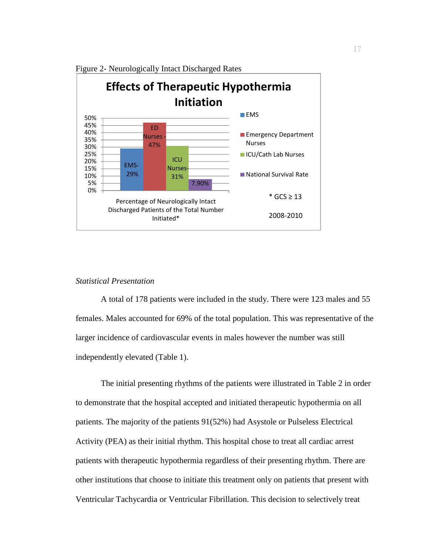

Figure 2- Neurologically Intact Discharged Rates

#### *Statistical Presentation*

 A total of 178 patients were included in the study. There were 123 males and 55 females. Males accounted for 69% of the total population. This was representative of the larger incidence of cardiovascular events in males however the number was still independently elevated (Table 1).

 The initial presenting rhythms of the patients were illustrated in Table 2 in order to demonstrate that the hospital accepted and initiated therapeutic hypothermia on all patients. The majority of the patients 91(52%) had Asystole or Pulseless Electrical Activity (PEA) as their initial rhythm. This hospital chose to treat all cardiac arrest patients with therapeutic hypothermia regardless of their presenting rhythm. There are other institutions that choose to initiate this treatment only on patients that present with Ventricular Tachycardia or Ventricular Fibrillation. This decision to selectively treat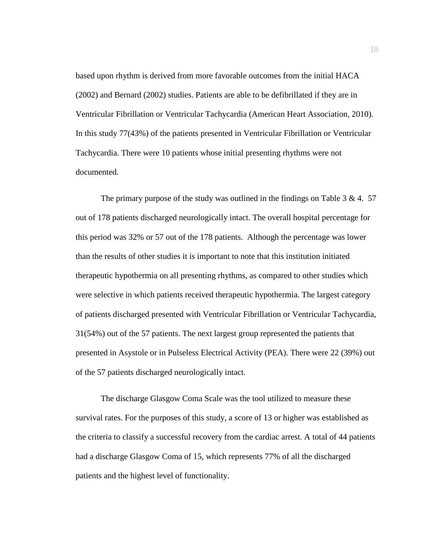based upon rhythm is derived from more favorable outcomes from the initial HACA (2002) and Bernard (2002) studies. Patients are able to be defibrillated if they are in Ventricular Fibrillation or Ventricular Tachycardia (American Heart Association, 2010). In this study 77(43%) of the patients presented in Ventricular Fibrillation or Ventricular Tachycardia. There were 10 patients whose initial presenting rhythms were not documented.

The primary purpose of the study was outlined in the findings on Table 3 & 4. 57 out of 178 patients discharged neurologically intact. The overall hospital percentage for this period was 32% or 57 out of the 178 patients. Although the percentage was lower than the results of other studies it is important to note that this institution initiated therapeutic hypothermia on all presenting rhythms, as compared to other studies which were selective in which patients received therapeutic hypothermia. The largest category of patients discharged presented with Ventricular Fibrillation or Ventricular Tachycardia, 31(54%) out of the 57 patients. The next largest group represented the patients that presented in Asystole or in Pulseless Electrical Activity (PEA). There were 22 (39%) out of the 57 patients discharged neurologically intact.

 The discharge Glasgow Coma Scale was the tool utilized to measure these survival rates. For the purposes of this study, a score of 13 or higher was established as the criteria to classify a successful recovery from the cardiac arrest. A total of 44 patients had a discharge Glasgow Coma of 15, which represents 77% of all the discharged patients and the highest level of functionality.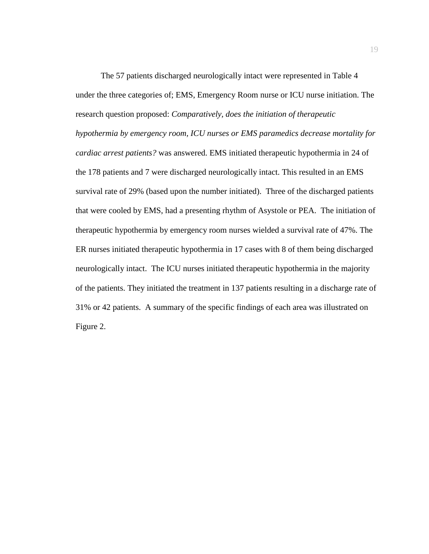The 57 patients discharged neurologically intact were represented in Table 4 under the three categories of; EMS, Emergency Room nurse or ICU nurse initiation. The research question proposed: *Comparatively, does the initiation of therapeutic hypothermia by emergency room, ICU nurses or EMS paramedics decrease mortality for cardiac arrest patients?* was answered. EMS initiated therapeutic hypothermia in 24 of the 178 patients and 7 were discharged neurologically intact. This resulted in an EMS survival rate of 29% (based upon the number initiated). Three of the discharged patients that were cooled by EMS, had a presenting rhythm of Asystole or PEA. The initiation of therapeutic hypothermia by emergency room nurses wielded a survival rate of 47%. The ER nurses initiated therapeutic hypothermia in 17 cases with 8 of them being discharged neurologically intact. The ICU nurses initiated therapeutic hypothermia in the majority of the patients. They initiated the treatment in 137 patients resulting in a discharge rate of 31% or 42 patients. A summary of the specific findings of each area was illustrated on Figure 2.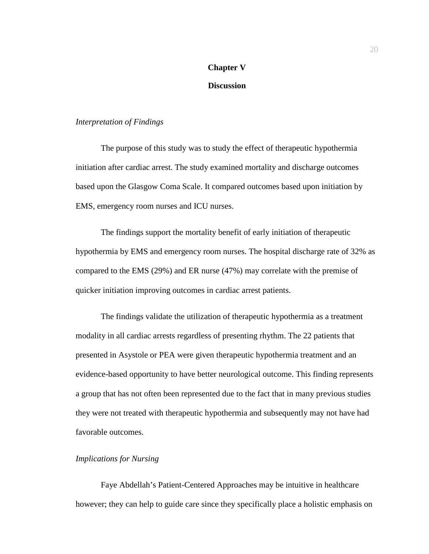# **Chapter V**

# **Discussion**

#### *Interpretation of Findings*

 The purpose of this study was to study the effect of therapeutic hypothermia initiation after cardiac arrest. The study examined mortality and discharge outcomes based upon the Glasgow Coma Scale. It compared outcomes based upon initiation by EMS, emergency room nurses and ICU nurses.

 The findings support the mortality benefit of early initiation of therapeutic hypothermia by EMS and emergency room nurses. The hospital discharge rate of 32% as compared to the EMS (29%) and ER nurse (47%) may correlate with the premise of quicker initiation improving outcomes in cardiac arrest patients.

 The findings validate the utilization of therapeutic hypothermia as a treatment modality in all cardiac arrests regardless of presenting rhythm. The 22 patients that presented in Asystole or PEA were given therapeutic hypothermia treatment and an evidence-based opportunity to have better neurological outcome. This finding represents a group that has not often been represented due to the fact that in many previous studies they were not treated with therapeutic hypothermia and subsequently may not have had favorable outcomes.

#### *Implications for Nursing*

 Faye Abdellah's Patient-Centered Approaches may be intuitive in healthcare however; they can help to guide care since they specifically place a holistic emphasis on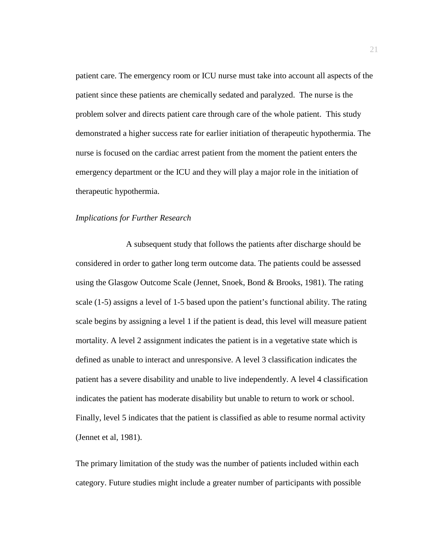patient care. The emergency room or ICU nurse must take into account all aspects of the patient since these patients are chemically sedated and paralyzed. The nurse is the problem solver and directs patient care through care of the whole patient. This study demonstrated a higher success rate for earlier initiation of therapeutic hypothermia. The nurse is focused on the cardiac arrest patient from the moment the patient enters the emergency department or the ICU and they will play a major role in the initiation of therapeutic hypothermia.

#### *Implications for Further Research*

 A subsequent study that follows the patients after discharge should be considered in order to gather long term outcome data. The patients could be assessed using the Glasgow Outcome Scale (Jennet, Snoek, Bond & Brooks, 1981). The rating scale (1-5) assigns a level of 1-5 based upon the patient's functional ability. The rating scale begins by assigning a level 1 if the patient is dead, this level will measure patient mortality. A level 2 assignment indicates the patient is in a vegetative state which is defined as unable to interact and unresponsive. A level 3 classification indicates the patient has a severe disability and unable to live independently. A level 4 classification indicates the patient has moderate disability but unable to return to work or school. Finally, level 5 indicates that the patient is classified as able to resume normal activity (Jennet et al, 1981).

The primary limitation of the study was the number of patients included within each category. Future studies might include a greater number of participants with possible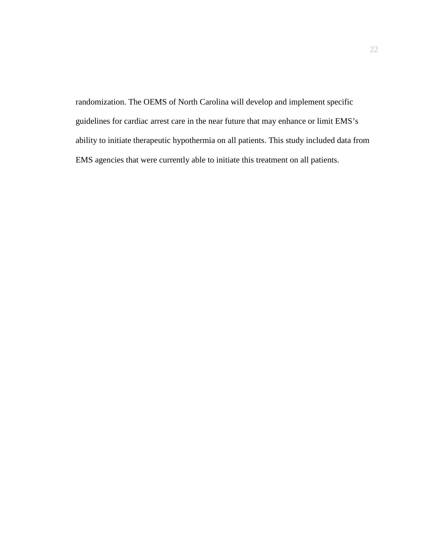randomization. The OEMS of North Carolina will develop and implement specific guidelines for cardiac arrest care in the near future that may enhance or limit EMS's ability to initiate therapeutic hypothermia on all patients. This study included data from EMS agencies that were currently able to initiate this treatment on all patients.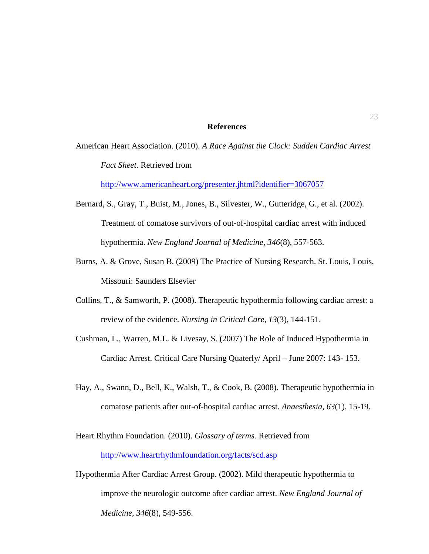#### **References**

American Heart Association. (2010). *A Race Against the Clock: Sudden Cardiac Arrest Fact Sheet.* Retrieved from

http://www.americanheart.org/presenter.jhtml?identifier=3067057

- Bernard, S., Gray, T., Buist, M., Jones, B., Silvester, W., Gutteridge, G., et al. (2002). Treatment of comatose survivors of out-of-hospital cardiac arrest with induced hypothermia. *New England Journal of Medicine*, *346*(8), 557-563.
- Burns, A. & Grove, Susan B. (2009) The Practice of Nursing Research. St. Louis, Louis, Missouri: Saunders Elsevier
- Collins, T., & Samworth, P. (2008). Therapeutic hypothermia following cardiac arrest: a review of the evidence. *Nursing in Critical Care*, *13*(3), 144-151.
- Cushman, L., Warren, M.L. & Livesay, S. (2007) The Role of Induced Hypothermia in Cardiac Arrest. Critical Care Nursing Quaterly/ April – June 2007: 143- 153.
- Hay, A., Swann, D., Bell, K., Walsh, T., & Cook, B. (2008). Therapeutic hypothermia in comatose patients after out-of-hospital cardiac arrest. *Anaesthesia*, *63*(1), 15-19.
- Heart Rhythm Foundation. (2010). *Glossary of terms.* Retrieved from http://www.heartrhythmfoundation.org/facts/scd.asp
- Hypothermia After Cardiac Arrest Group. (2002). Mild therapeutic hypothermia to improve the neurologic outcome after cardiac arrest. *New England Journal of Medicine*, *346*(8), 549-556.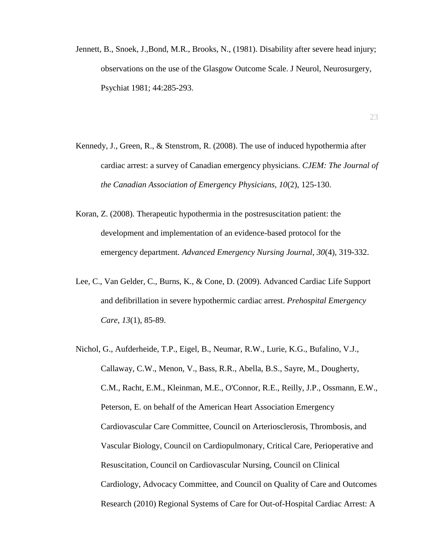- Jennett, B., Snoek, J.,Bond, M.R., Brooks, N., (1981). Disability after severe head injury; observations on the use of the Glasgow Outcome Scale. J Neurol, Neurosurgery, Psychiat 1981; 44:285-293.
- Kennedy, J., Green, R., & Stenstrom, R. (2008). The use of induced hypothermia after cardiac arrest: a survey of Canadian emergency physicians. *CJEM: The Journal of the Canadian Association of Emergency Physicians*, *10*(2), 125-130.
- Koran, Z. (2008). Therapeutic hypothermia in the postresuscitation patient: the development and implementation of an evidence-based protocol for the emergency department. *Advanced Emergency Nursing Journal*, *30*(4), 319-332.
- Lee, C., Van Gelder, C., Burns, K., & Cone, D. (2009). Advanced Cardiac Life Support and defibrillation in severe hypothermic cardiac arrest. *Prehospital Emergency Care*, *13*(1), 85-89.
- Nichol, G., Aufderheide, T.P., Eigel, B., Neumar, R.W., Lurie, K.G., Bufalino, V.J., Callaway, C.W., Menon, V., Bass, R.R., Abella, B.S., Sayre, M., Dougherty, C.M., Racht, E.M., Kleinman, M.E., O'Connor, R.E., Reilly, J.P., Ossmann, E.W., Peterson, E. on behalf of the American Heart Association Emergency Cardiovascular Care Committee, Council on Arteriosclerosis, Thrombosis, and Vascular Biology, Council on Cardiopulmonary, Critical Care, Perioperative and Resuscitation, Council on Cardiovascular Nursing, Council on Clinical Cardiology, Advocacy Committee, and Council on Quality of Care and Outcomes Research (2010) Regional Systems of Care for Out-of-Hospital Cardiac Arrest: A

#### 23